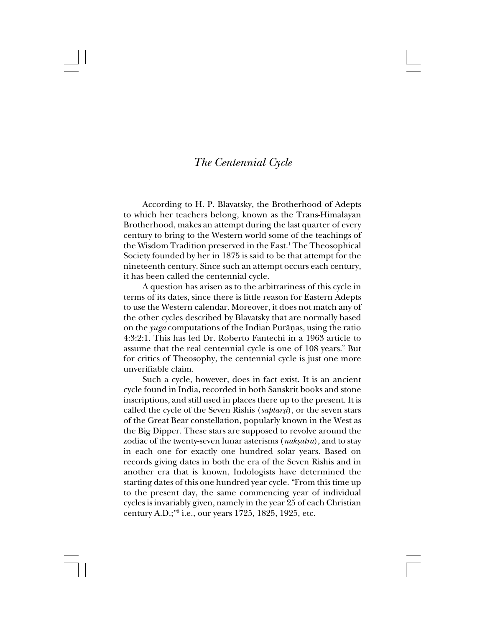## *The Centennial Cycle*

According to H. P. Blavatsky, the Brotherhood of Adepts to which her teachers belong, known as the Trans-Himalayan Brotherhood, makes an attempt during the last quarter of every century to bring to the Western world some of the teachings of the Wisdom Tradition preserved in the East.<sup>1</sup> The Theosophical Society founded by her in 1875 is said to be that attempt for the nineteenth century. Since such an attempt occurs each century, it has been called the centennial cycle.

A question has arisen as to the arbitrariness of this cycle in terms of its dates, since there is little reason for Eastern Adepts to use the Western calendar. Moreover, it does not match any of the other cycles described by Blavatsky that are normally based on the *yuga* computations of the Indian Puråñas, using the ratio 4:3:2:1. This has led Dr. Roberto Fantechi in a 1963 article to assume that the real centennial cycle is one of  $108$  years.<sup>2</sup> But for critics of Theosophy, the centennial cycle is just one more unverifiable claim.

Such a cycle, however, does in fact exist. It is an ancient cycle found in India, recorded in both Sanskrit books and stone inscriptions, and still used in places there up to the present. It is called the cycle of the Seven Rishis (*saptarßi*), or the seven stars of the Great Bear constellation, popularly known in the West as the Big Dipper. These stars are supposed to revolve around the zodiac of the twenty-seven lunar asterisms (*nakßatra*), and to stay in each one for exactly one hundred solar years. Based on records giving dates in both the era of the Seven Rishis and in another era that is known, Indologists have determined the starting dates of this one hundred year cycle. "From this time up to the present day, the same commencing year of individual cycles is invariably given, namely in the year 25 of each Christian century A.D.;"3 i.e., our years 1725, 1825, 1925, etc.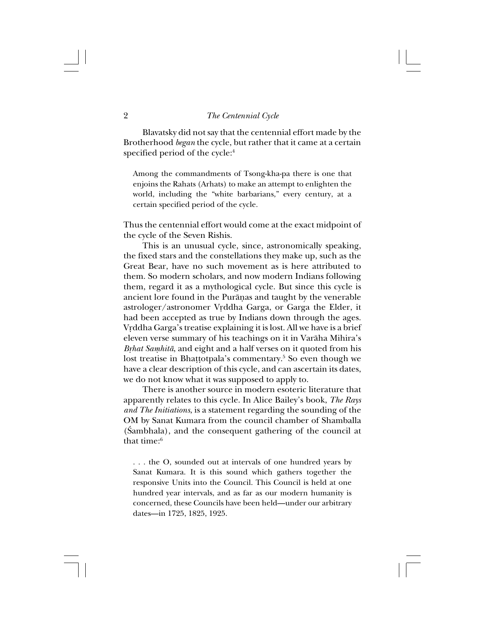Blavatsky did not say that the centennial effort made by the Brotherhood *began* the cycle, but rather that it came at a certain specified period of the cycle:<sup>4</sup>

Among the commandments of Tsong-kha-pa there is one that enjoins the Rahats (Arhats) to make an attempt to enlighten the world, including the "white barbarians," every century, at a certain specified period of the cycle.

Thus the centennial effort would come at the exact midpoint of the cycle of the Seven Rishis.

This is an unusual cycle, since, astronomically speaking, the fixed stars and the constellations they make up, such as the Great Bear, have no such movement as is here attributed to them. So modern scholars, and now modern Indians following them, regard it as a mythological cycle. But since this cycle is ancient lore found in the Puråñas and taught by the venerable astrologer/astronomer Vrddha Garga, or Garga the Elder, it had been accepted as true by Indians down through the ages. Vrddha Garga's treatise explaining it is lost. All we have is a brief eleven verse summary of his teachings on it in Varåha Mihira's *Brhat Samhitā*, and eight and a half verses on it quoted from his lost treatise in Bhaṭṭotpala's commentary.<sup>5</sup> So even though we have a clear description of this cycle, and can ascertain its dates, we do not know what it was supposed to apply to.

There is another source in modern esoteric literature that apparently relates to this cycle. In Alice Bailey's book, *The Rays and The Initiations*, is a statement regarding the sounding of the OM by Sanat Kumara from the council chamber of Shamballa (Śambhala), and the consequent gathering of the council at that time $\cdot$ <sup>6</sup>

. . . the O, sounded out at intervals of one hundred years by Sanat Kumara. It is this sound which gathers together the responsive Units into the Council. This Council is held at one hundred year intervals, and as far as our modern humanity is concerned, these Councils have been held—under our arbitrary dates—in 1725, 1825, 1925.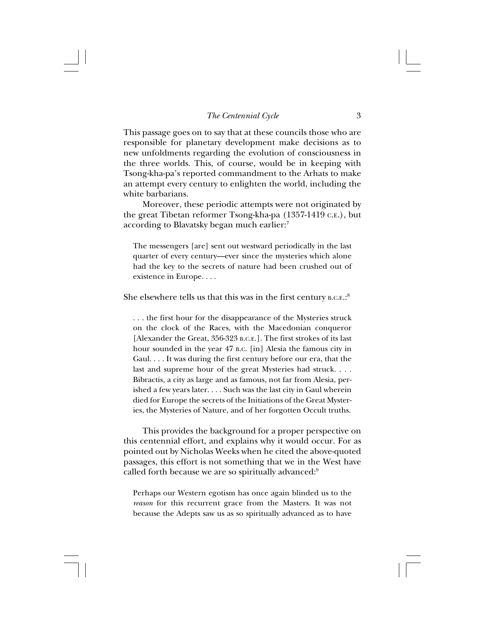This passage goes on to say that at these councils those who are responsible for planetary development make decisions as to new unfoldments regarding the evolution of consciousness in the three worlds. This, of course, would be in keeping with Tsong-kha-pa's reported commandment to the Arhats to make an attempt every century to enlighten the world, including the white barbarians.

Moreover, these periodic attempts were not originated by the great Tibetan reformer Tsong-kha-pa (1357-1419 C.E.), but according to Blavatsky began much earlier:7

The messengers [are] sent out westward periodically in the last quarter of every century—ever since the mysteries which alone had the key to the secrets of nature had been crushed out of existence in Europe. . . .

She elsewhere tells us that this was in the first century B.C.E.:<sup>8</sup>

. . . the first hour for the disappearance of the Mysteries struck on the clock of the Races, with the Macedonian conqueror [Alexander the Great, 356-323 B.C.E.]. The first strokes of its last hour sounded in the year 47 B.C. [in] Alesia the famous city in Gaul. . . . It was during the first century before our era, that the last and supreme hour of the great Mysteries had struck. . . . Bibractis, a city as large and as famous, not far from Alesia, perished a few years later. . . . Such was the last city in Gaul wherein died for Europe the secrets of the Initiations of the Great Mysteries, the Mysteries of Nature, and of her forgotten Occult truths.

This provides the background for a proper perspective on this centennial effort, and explains why it would occur. For as pointed out by Nicholas Weeks when he cited the above-quoted passages, this effort is not something that we in the West have called forth because we are so spiritually advanced:<sup>9</sup>

Perhaps our Western egotism has once again blinded us to the *reason* for this recurrent grace from the Masters. It was not because the Adepts saw us as so spiritually advanced as to have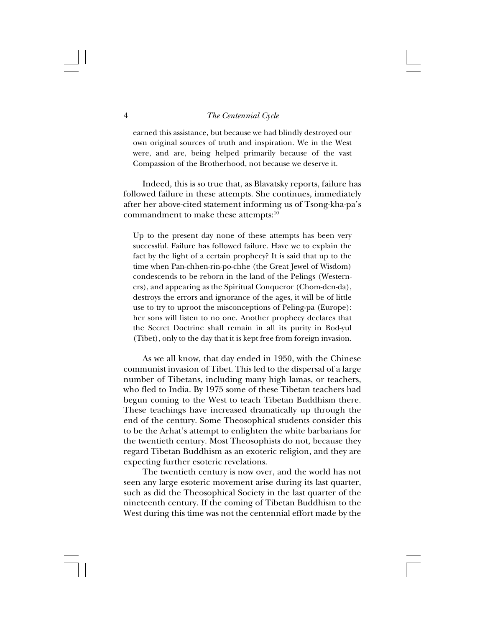earned this assistance, but because we had blindly destroyed our own original sources of truth and inspiration. We in the West were, and are, being helped primarily because of the vast Compassion of the Brotherhood, not because we deserve it.

Indeed, this is so true that, as Blavatsky reports, failure has followed failure in these attempts. She continues, immediately after her above-cited statement informing us of Tsong-kha-pa's commandment to make these attempts:<sup>10</sup>

Up to the present day none of these attempts has been very successful. Failure has followed failure. Have we to explain the fact by the light of a certain prophecy? It is said that up to the time when Pan-chhen-rin-po-chhe (the Great Jewel of Wisdom) condescends to be reborn in the land of the Pelings (Westerners), and appearing as the Spiritual Conqueror (Chom-den-da), destroys the errors and ignorance of the ages, it will be of little use to try to uproot the misconceptions of Peling-pa (Europe): her sons will listen to no one. Another prophecy declares that the Secret Doctrine shall remain in all its purity in Bod-yul (Tibet), only to the day that it is kept free from foreign invasion.

As we all know, that day ended in 1950, with the Chinese communist invasion of Tibet. This led to the dispersal of a large number of Tibetans, including many high lamas, or teachers, who fled to India. By 1975 some of these Tibetan teachers had begun coming to the West to teach Tibetan Buddhism there. These teachings have increased dramatically up through the end of the century. Some Theosophical students consider this to be the Arhat's attempt to enlighten the white barbarians for the twentieth century. Most Theosophists do not, because they regard Tibetan Buddhism as an exoteric religion, and they are expecting further esoteric revelations.

The twentieth century is now over, and the world has not seen any large esoteric movement arise during its last quarter, such as did the Theosophical Society in the last quarter of the nineteenth century. If the coming of Tibetan Buddhism to the West during this time was not the centennial effort made by the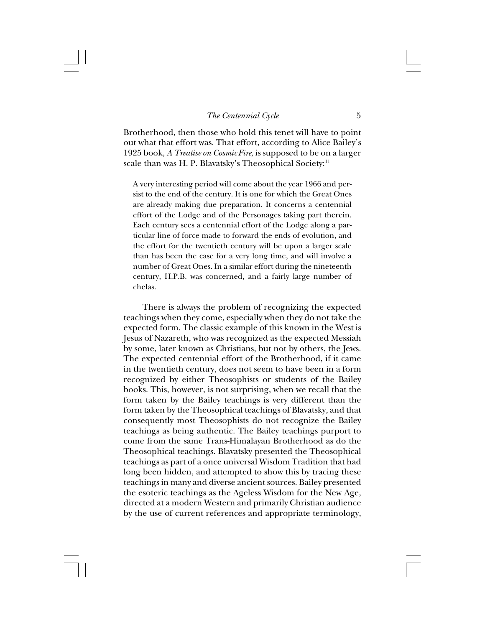Brotherhood, then those who hold this tenet will have to point out what that effort was. That effort, according to Alice Bailey's 1925 book, *A Treatise on Cosmic Fire*, is supposed to be on a larger scale than was H. P. Blavatsky's Theosophical Society:<sup>11</sup>

A very interesting period will come about the year 1966 and persist to the end of the century. It is one for which the Great Ones are already making due preparation. It concerns a centennial effort of the Lodge and of the Personages taking part therein. Each century sees a centennial effort of the Lodge along a particular line of force made to forward the ends of evolution, and the effort for the twentieth century will be upon a larger scale than has been the case for a very long time, and will involve a number of Great Ones. In a similar effort during the nineteenth century, H.P.B. was concerned, and a fairly large number of chelas.

There is always the problem of recognizing the expected teachings when they come, especially when they do not take the expected form. The classic example of this known in the West is Jesus of Nazareth, who was recognized as the expected Messiah by some, later known as Christians, but not by others, the Jews. The expected centennial effort of the Brotherhood, if it came in the twentieth century, does not seem to have been in a form recognized by either Theosophists or students of the Bailey books. This, however, is not surprising, when we recall that the form taken by the Bailey teachings is very different than the form taken by the Theosophical teachings of Blavatsky, and that consequently most Theosophists do not recognize the Bailey teachings as being authentic. The Bailey teachings purport to come from the same Trans-Himalayan Brotherhood as do the Theosophical teachings. Blavatsky presented the Theosophical teachings as part of a once universal Wisdom Tradition that had long been hidden, and attempted to show this by tracing these teachings in many and diverse ancient sources. Bailey presented the esoteric teachings as the Ageless Wisdom for the New Age, directed at a modern Western and primarily Christian audience by the use of current references and appropriate terminology,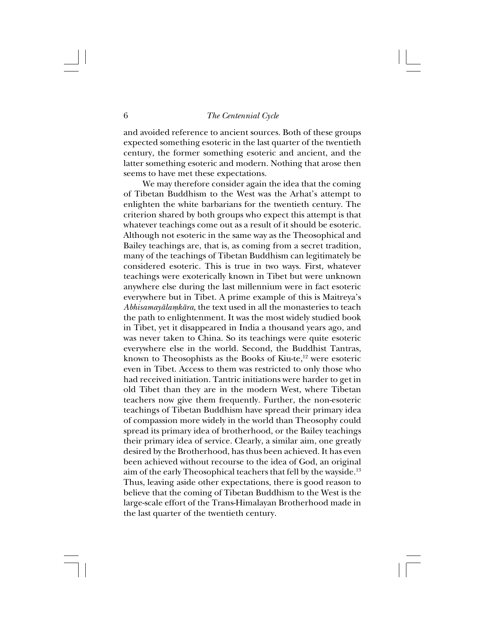and avoided reference to ancient sources. Both of these groups expected something esoteric in the last quarter of the twentieth century, the former something esoteric and ancient, and the latter something esoteric and modern. Nothing that arose then seems to have met these expectations.

We may therefore consider again the idea that the coming of Tibetan Buddhism to the West was the Arhat's attempt to enlighten the white barbarians for the twentieth century. The criterion shared by both groups who expect this attempt is that whatever teachings come out as a result of it should be esoteric. Although not esoteric in the same way as the Theosophical and Bailey teachings are, that is, as coming from a secret tradition, many of the teachings of Tibetan Buddhism can legitimately be considered esoteric. This is true in two ways. First, whatever teachings were exoterically known in Tibet but were unknown anywhere else during the last millennium were in fact esoteric everywhere but in Tibet. A prime example of this is Maitreya's *Abhisamayålaµkåra*, the text used in all the monasteries to teach the path to enlightenment. It was the most widely studied book in Tibet, yet it disappeared in India a thousand years ago, and was never taken to China. So its teachings were quite esoteric everywhere else in the world. Second, the Buddhist Tantras, known to Theosophists as the Books of Kiu-te, $12$  were esoteric even in Tibet. Access to them was restricted to only those who had received initiation. Tantric initiations were harder to get in old Tibet than they are in the modern West, where Tibetan teachers now give them frequently. Further, the non-esoteric teachings of Tibetan Buddhism have spread their primary idea of compassion more widely in the world than Theosophy could spread its primary idea of brotherhood, or the Bailey teachings their primary idea of service. Clearly, a similar aim, one greatly desired by the Brotherhood, has thus been achieved. It has even been achieved without recourse to the idea of God, an original aim of the early Theosophical teachers that fell by the wayside.<sup>13</sup> Thus, leaving aside other expectations, there is good reason to believe that the coming of Tibetan Buddhism to the West is the large-scale effort of the Trans-Himalayan Brotherhood made in the last quarter of the twentieth century.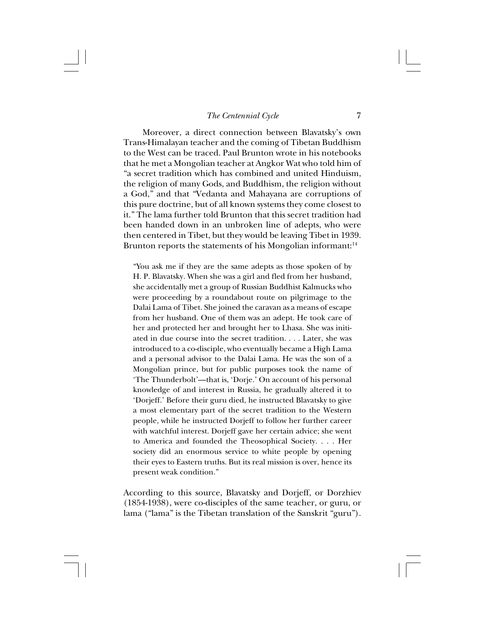Moreover, a direct connection between Blavatsky's own Trans-Himalayan teacher and the coming of Tibetan Buddhism to the West can be traced. Paul Brunton wrote in his notebooks that he met a Mongolian teacher at Angkor Wat who told him of "a secret tradition which has combined and united Hinduism, the religion of many Gods, and Buddhism, the religion without a God," and that "Vedanta and Mahayana are corruptions of this pure doctrine, but of all known systems they come closest to it." The lama further told Brunton that this secret tradition had been handed down in an unbroken line of adepts, who were then centered in Tibet, but they would be leaving Tibet in 1939. Brunton reports the statements of his Mongolian informant: $14$ 

"You ask me if they are the same adepts as those spoken of by H. P. Blavatsky. When she was a girl and fled from her husband, she accidentally met a group of Russian Buddhist Kalmucks who were proceeding by a roundabout route on pilgrimage to the Dalai Lama of Tibet. She joined the caravan as a means of escape from her husband. One of them was an adept. He took care of her and protected her and brought her to Lhasa. She was initiated in due course into the secret tradition. . . . Later, she was introduced to a co-disciple, who eventually became a High Lama and a personal advisor to the Dalai Lama. He was the son of a Mongolian prince, but for public purposes took the name of 'The Thunderbolt'—that is, 'Dorje.' On account of his personal knowledge of and interest in Russia, he gradually altered it to 'Dorjeff.' Before their guru died, he instructed Blavatsky to give a most elementary part of the secret tradition to the Western people, while he instructed Dorjeff to follow her further career with watchful interest. Dorjeff gave her certain advice; she went to America and founded the Theosophical Society. . . . Her society did an enormous service to white people by opening their eyes to Eastern truths. But its real mission is over, hence its present weak condition."

According to this source, Blavatsky and Dorjeff, or Dorzhiev (1854-1938), were co-disciples of the same teacher, or guru, or lama ("lama" is the Tibetan translation of the Sanskrit "guru").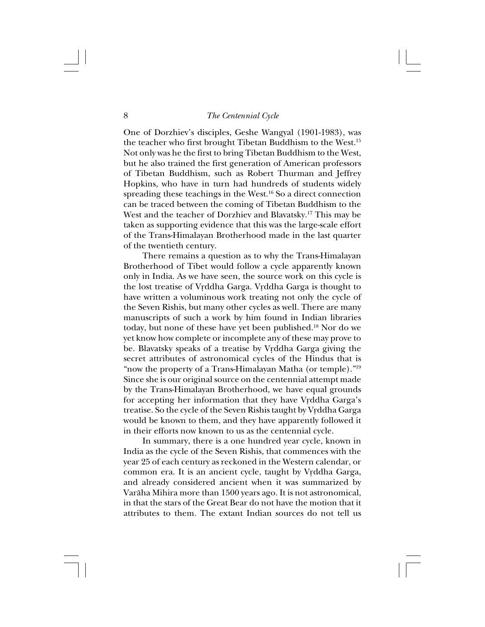One of Dorzhiev's disciples, Geshe Wangyal (1901-1983), was the teacher who first brought Tibetan Buddhism to the West.15 Not only was he the first to bring Tibetan Buddhism to the West, but he also trained the first generation of American professors of Tibetan Buddhism, such as Robert Thurman and Jeffrey Hopkins, who have in turn had hundreds of students widely spreading these teachings in the West.16 So a direct connection can be traced between the coming of Tibetan Buddhism to the West and the teacher of Dorzhiev and Blavatsky.<sup>17</sup> This may be taken as supporting evidence that this was the large-scale effort of the Trans-Himalayan Brotherhood made in the last quarter of the twentieth century.

There remains a question as to why the Trans-Himalayan Brotherhood of Tibet would follow a cycle apparently known only in India. As we have seen, the source work on this cycle is the lost treatise of Vrddha Garga. Vrddha Garga is thought to have written a voluminous work treating not only the cycle of the Seven Rishis, but many other cycles as well. There are many manuscripts of such a work by him found in Indian libraries today, but none of these have yet been published.18 Nor do we yet know how complete or incomplete any of these may prove to be. Blavatsky speaks of a treatise by Vrddha Garga giving the secret attributes of astronomical cycles of the Hindus that is "now the property of a Trans-Himalayan Matha (or temple)."19 Since she is our original source on the centennial attempt made by the Trans-Himalayan Brotherhood, we have equal grounds for accepting her information that they have Vrddha Garga's treatise. So the cycle of the Seven Rishis taught by Vrddha Garga would be known to them, and they have apparently followed it in their efforts now known to us as the centennial cycle.

In summary, there is a one hundred year cycle, known in India as the cycle of the Seven Rishis, that commences with the year 25 of each century as reckoned in the Western calendar, or common era. It is an ancient cycle, taught by Vrddha Garga, and already considered ancient when it was summarized by Varåha Mihira more than 1500 years ago. It is not astronomical, in that the stars of the Great Bear do not have the motion that it attributes to them. The extant Indian sources do not tell us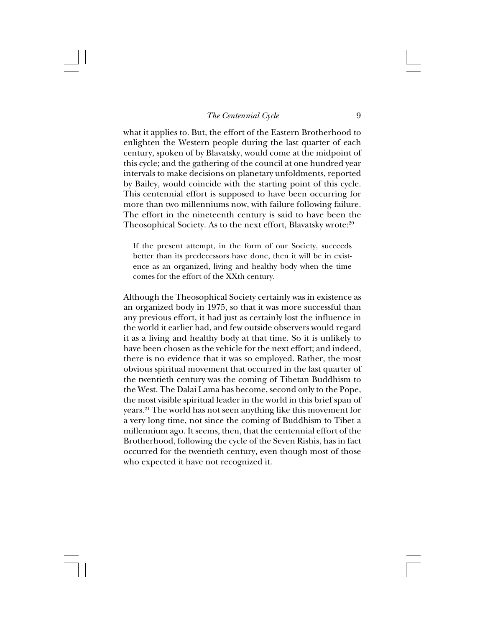what it applies to. But, the effort of the Eastern Brotherhood to enlighten the Western people during the last quarter of each century, spoken of by Blavatsky, would come at the midpoint of this cycle; and the gathering of the council at one hundred year intervals to make decisions on planetary unfoldments, reported by Bailey, would coincide with the starting point of this cycle. This centennial effort is supposed to have been occurring for more than two millenniums now, with failure following failure. The effort in the nineteenth century is said to have been the Theosophical Society. As to the next effort, Blavatsky wrote:<sup>20</sup>

If the present attempt, in the form of our Society, succeeds better than its predecessors have done, then it will be in existence as an organized, living and healthy body when the time comes for the effort of the XXth century.

Although the Theosophical Society certainly was in existence as an organized body in 1975, so that it was more successful than any previous effort, it had just as certainly lost the influence in the world it earlier had, and few outside observers would regard it as a living and healthy body at that time. So it is unlikely to have been chosen as the vehicle for the next effort; and indeed, there is no evidence that it was so employed. Rather, the most obvious spiritual movement that occurred in the last quarter of the twentieth century was the coming of Tibetan Buddhism to the West. The Dalai Lama has become, second only to the Pope, the most visible spiritual leader in the world in this brief span of years.21 The world has not seen anything like this movement for a very long time, not since the coming of Buddhism to Tibet a millennium ago. It seems, then, that the centennial effort of the Brotherhood, following the cycle of the Seven Rishis, has in fact occurred for the twentieth century, even though most of those who expected it have not recognized it.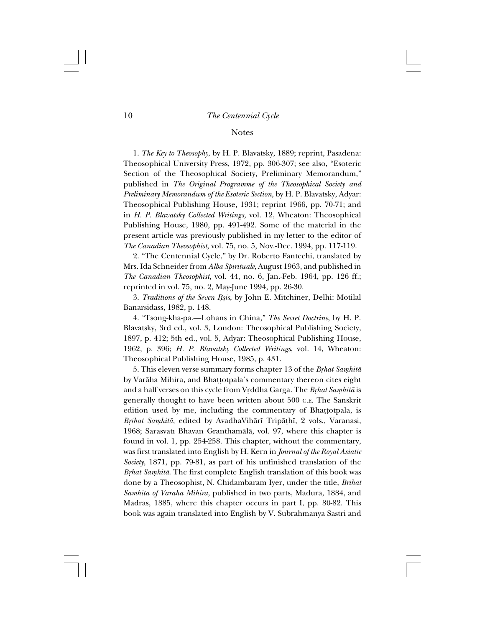## Notes

1. *The Key to Theosophy*, by H. P. Blavatsky, 1889; reprint, Pasadena: Theosophical University Press, 1972, pp. 306-307; see also, "Esoteric Section of the Theosophical Society, Preliminary Memorandum," published in *The Original Programme of the Theosophical Society and Preliminary Memorandum of the Esoteric Section*, by H. P. Blavatsky, Adyar: Theosophical Publishing House, 1931; reprint 1966, pp. 70-71; and in *H. P. Blavatsky Collected Writings,* vol. 12, Wheaton: Theosophical Publishing House, 1980, pp. 491-492. Some of the material in the present article was previously published in my letter to the editor of *The Canadian Theosophist*, vol. 75, no. 5, Nov.-Dec. 1994, pp. 117-119.

2. "The Centennial Cycle," by Dr. Roberto Fantechi, translated by Mrs. Ida Schneider from *Alba Spirituale*, August 1963, and published in *The Canadian Theosophist*, vol. 44, no. 6, Jan.-Feb. 1964, pp. 126 ff.; reprinted in vol. 75, no. 2, May-June 1994, pp. 26-30.

3. *Traditions of the Seven ‰ßis*, by John E. Mitchiner, Delhi: Motilal Banarsidass, 1982, p. 148.

4. "Tsong-kha-pa.—Lohans in China," *The Secret Doctrine*, by H. P. Blavatsky, 3rd ed., vol. 3, London: Theosophical Publishing Society, 1897, p. 412; 5th ed., vol. 5, Adyar: Theosophical Publishing House, 1962, p. 396; *H. P. Blavatsky Collected Writings*, vol. 14, Wheaton: Theosophical Publishing House, 1985, p. 431.

5. This eleven verse summary forms chapter 13 of the *Brhat Samhitā* by Varåha Mihira, and Bha††otpala's commentary thereon cites eight and a half verses on this cycle from Vrddha Garga. The *Brhat Samhitā* is generally thought to have been written about 500 C.E. The Sanskrit edition used by me, including the commentary of Bha††otpala, is *B®ihat Saµhitå*, edited by AvadhaVihårî Tripå†hî, 2 vols., Varanasi, 1968; Sarasvatî Bhavan Granthamålå, vol. 97, where this chapter is found in vol. 1, pp. 254-258. This chapter, without the commentary, was first translated into English by H. Kern in *Journal of the Royal Asiatic Society*, 1871, pp. 79-81, as part of his unfinished translation of the *Brhat Samhitā*. The first complete English translation of this book was done by a Theosophist, N. Chidambaram Iyer, under the title, *Brihat Samhita of Varaha Mihira*, published in two parts, Madura, 1884, and Madras, 1885, where this chapter occurs in part I, pp. 80-82. This book was again translated into English by V. Subrahmanya Sastri and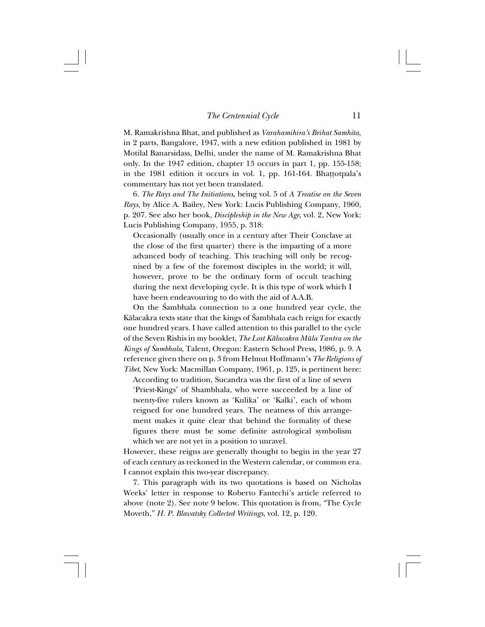M. Ramakrishna Bhat, and published as *Varahamihira's Brihat Samhita*, in 2 parts, Bangalore, 1947, with a new edition published in 1981 by Motilal Banarsidass, Delhi, under the name of M. Ramakrishna Bhat only. In the 1947 edition, chapter 13 occurs in part 1, pp. 155-158; in the 1981 edition it occurs in vol. 1, pp. 161-164. Bha††otpala's commentary has not yet been translated.

6. *The Rays and The Initiations*, being vol. 5 of *A Treatise on the Seven Rays*, by Alice A. Bailey, New York: Lucis Publishing Company, 1960, p. 207. See also her book, *Discipleship in the New Age*, vol. 2, New York: Lucis Publishing Company, 1955, p. 318:

Occasionally (usually once in a century after Their Conclave at the close of the first quarter) there is the imparting of a more advanced body of teaching. This teaching will only be recognised by a few of the foremost disciples in the world; it will, however, prove to be the ordinary form of occult teaching during the next developing cycle. It is this type of work which I have been endeavouring to do with the aid of A.A.B.

On the Sambhala connection to a one hundred year cycle, the Kālacakra texts state that the kings of Śambhala each reign for exactly one hundred years. I have called attention to this parallel to the cycle of the Seven Rishis in my booklet, *The Lost Kålacakra Müla Tantra on the Kings of ˛ambhala*, Talent, Oregon: Eastern School Press, 1986, p. 9. A reference given there on p. 3 from Helmut Hoffmann's *The Religions of Tibet*, New York: Macmillan Company, 1961, p. 125, is pertinent here:

According to tradition, Sucandra was the first of a line of seven 'Priest-Kings' of Shambhala, who were succeeded by a line of twenty-five rulers known as 'Kulika' or 'Kalki', each of whom reigned for one hundred years. The neatness of this arrangement makes it quite clear that behind the formality of these figures there must be some definite astrological symbolism which we are not yet in a position to unravel.

However, these reigns are generally thought to begin in the year 27 of each century as reckoned in the Western calendar, or common era. I cannot explain this two-year discrepancy.

7. This paragraph with its two quotations is based on Nicholas Weeks' letter in response to Roberto Fantechi's article referred to above (note 2). See note 9 below. This quotation is from, "The Cycle Moveth," *H. P. Blavatsky Collected Writings*, vol. 12, p. 120.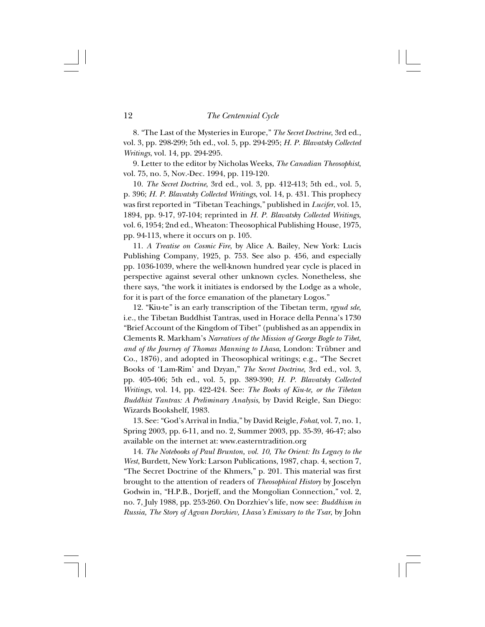8. "The Last of the Mysteries in Europe," *The Secret Doctrine*, 3rd ed., vol. 3, pp. 298-299; 5th ed., vol. 5, pp. 294-295; *H. P. Blavatsky Collected Writings*, vol. 14, pp. 294-295.

9. Letter to the editor by Nicholas Weeks, *The Canadian Theosophist*, vol. 75, no. 5, Nov.-Dec. 1994, pp. 119-120.

10. *The Secret Doctrine*, 3rd ed., vol. 3, pp. 412-413; 5th ed., vol. 5, p. 396; *H. P. Blavatsky Collected Writings*, vol. 14, p. 431. This prophecy was first reported in "Tibetan Teachings," published in *Lucifer*, vol. 15, 1894, pp. 9-17, 97-104; reprinted in *H. P. Blavatsky Collected Writings*, vol. 6, 1954; 2nd ed., Wheaton: Theosophical Publishing House, 1975, pp. 94-113, where it occurs on p. 105.

11. *A Treatise on Cosmic Fire*, by Alice A. Bailey, New York: Lucis Publishing Company, 1925, p. 753. See also p. 456, and especially pp. 1036-1039, where the well-known hundred year cycle is placed in perspective against several other unknown cycles. Nonetheless, she there says, "the work it initiates is endorsed by the Lodge as a whole, for it is part of the force emanation of the planetary Logos."

12. "Kiu-te" is an early transcription of the Tibetan term, *rgyud sde*, i.e., the Tibetan Buddhist Tantras, used in Horace della Penna's 1730 "Brief Account of the Kingdom of Tibet" (published as an appendix in Clements R. Markham's *Narratives of the Mission of George Bogle to Tibet, and of the Journey of Thomas Manning to Lhasa*, London: Trübner and Co., 1876), and adopted in Theosophical writings; e.g., "The Secret Books of 'Lam-Rim' and Dzyan," *The Secret Doctrine*, 3rd ed., vol. 3, pp. 405-406; 5th ed., vol. 5, pp. 389-390; *H. P. Blavatsky Collected Writings*, vol. 14, pp. 422-424. See: *The Books of Kiu-te, or the Tibetan Buddhist Tantras: A Preliminary Analysis*, by David Reigle, San Diego: Wizards Bookshelf, 1983.

13. See: "God's Arrival in India," by David Reigle, *Fohat*, vol. 7, no. 1, Spring 2003, pp. 6-11, and no. 2, Summer 2003, pp. 35-39, 46-47; also available on the internet at: www.easterntradition.org

14. *The Notebooks of Paul Brunton, vol. 10, The Orient: Its Legacy to the West*, Burdett, New York: Larson Publications, 1987, chap. 4, section 7, "The Secret Doctrine of the Khmers," p. 201. This material was first brought to the attention of readers of *Theosophical History* by Joscelyn Godwin in, "H.P.B., Dorjeff, and the Mongolian Connection," vol. 2, no. 7, July 1988, pp. 253-260. On Dorzhiev's life, now see: *Buddhism in Russia, The Story of Agvan Dorzhiev, Lhasa's Emissary to the Tsar*, by John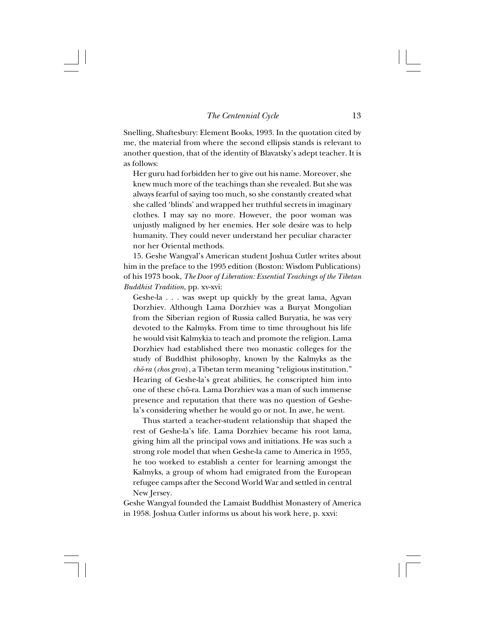Snelling, Shaftesbury: Element Books, 1993. In the quotation cited by me, the material from where the second ellipsis stands is relevant to another question, that of the identity of Blavatsky's adept teacher. It is as follows:

Her guru had forbidden her to give out his name. Moreover, she knew much more of the teachings than she revealed. But she was always fearful of saying too much, so she constantly created what she called 'blinds' and wrapped her truthful secrets in imaginary clothes. I may say no more. However, the poor woman was unjustly maligned by her enemies. Her sole desire was to help humanity. They could never understand her peculiar character nor her Oriental methods.

15. Geshe Wangyal's American student Joshua Cutler writes about him in the preface to the 1995 edition (Boston: Wisdom Publications) of his 1973 book, *The Door of Liberation: Essential Teachings of the Tibetan Buddhist Tradition*, pp. xv-xvi:

Geshe-la . . . was swept up quickly by the great lama, Agvan Dorzhiev. Although Lama Dorzhiev was a Buryat Mongolian from the Siberian region of Russia called Buryatia, he was very devoted to the Kalmyks. From time to time throughout his life he would visit Kalmykia to teach and promote the religion. Lama Dorzhiev had established there two monastic colleges for the study of Buddhist philosophy, known by the Kalmyks as the *chö-ra* (*chos grva*), a Tibetan term meaning "religious institution." Hearing of Geshe-la's great abilities, he conscripted him into one of these chö-ra. Lama Dorzhiev was a man of such immense presence and reputation that there was no question of Geshela's considering whether he would go or not. In awe, he went.

Thus started a teacher-student relationship that shaped the rest of Geshe-la's life. Lama Dorzhiev became his root lama, giving him all the principal vows and initiations. He was such a strong role model that when Geshe-la came to America in 1955, he too worked to establish a center for learning amongst the Kalmyks, a group of whom had emigrated from the European refugee camps after the Second World War and settled in central New Jersey.

Geshe Wangyal founded the Lamaist Buddhist Monastery of America in 1958. Joshua Cutler informs us about his work here, p. xxvi: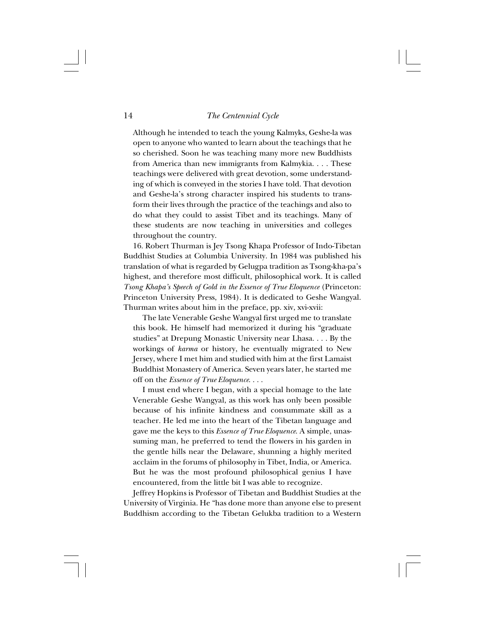Although he intended to teach the young Kalmyks, Geshe-la was open to anyone who wanted to learn about the teachings that he so cherished. Soon he was teaching many more new Buddhists from America than new immigrants from Kalmykia. . . . These teachings were delivered with great devotion, some understanding of which is conveyed in the stories I have told. That devotion and Geshe-la's strong character inspired his students to transform their lives through the practice of the teachings and also to do what they could to assist Tibet and its teachings. Many of these students are now teaching in universities and colleges throughout the country.

16. Robert Thurman is Jey Tsong Khapa Professor of Indo-Tibetan Buddhist Studies at Columbia University. In 1984 was published his translation of what is regarded by Gelugpa tradition as Tsong-kha-pa's highest, and therefore most difficult, philosophical work. It is called *Tsong Khapa's Speech of Gold in the Essence of True Eloquence* (Princeton: Princeton University Press, 1984). It is dedicated to Geshe Wangyal. Thurman writes about him in the preface, pp. xiv, xvi-xvii:

The late Venerable Geshe Wangyal first urged me to translate this book. He himself had memorized it during his "graduate studies" at Drepung Monastic University near Lhasa. . . . By the workings of *karma* or history, he eventually migrated to New Jersey, where I met him and studied with him at the first Lamaist Buddhist Monastery of America. Seven years later, he started me off on the *Essence of True Eloquence*. . . .

I must end where I began, with a special homage to the late Venerable Geshe Wangyal, as this work has only been possible because of his infinite kindness and consummate skill as a teacher. He led me into the heart of the Tibetan language and gave me the keys to this *Essence of True Eloquence*. A simple, unassuming man, he preferred to tend the flowers in his garden in the gentle hills near the Delaware, shunning a highly merited acclaim in the forums of philosophy in Tibet, India, or America. But he was the most profound philosophical genius I have encountered, from the little bit I was able to recognize.

Jeffrey Hopkins is Professor of Tibetan and Buddhist Studies at the University of Virginia. He "has done more than anyone else to present Buddhism according to the Tibetan Gelukba tradition to a Western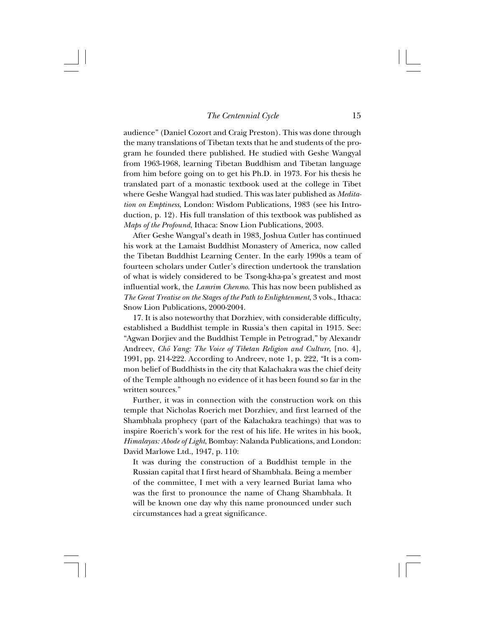audience" (Daniel Cozort and Craig Preston). This was done through the many translations of Tibetan texts that he and students of the program he founded there published. He studied with Geshe Wangyal from 1963-1968, learning Tibetan Buddhism and Tibetan language from him before going on to get his Ph.D. in 1973. For his thesis he translated part of a monastic textbook used at the college in Tibet where Geshe Wangyal had studied. This was later published as *Meditation on Emptiness*, London: Wisdom Publications, 1983 (see his Introduction, p. 12). His full translation of this textbook was published as *Maps of the Profound*, Ithaca: Snow Lion Publications, 2003.

After Geshe Wangyal's death in 1983, Joshua Cutler has continued his work at the Lamaist Buddhist Monastery of America, now called the Tibetan Buddhist Learning Center. In the early 1990s a team of fourteen scholars under Cutler's direction undertook the translation of what is widely considered to be Tsong-kha-pa's greatest and most influential work, the *Lamrim Chenmo*. This has now been published as *The Great Treatise on the Stages of the Path to Enlightenment*, 3 vols., Ithaca: Snow Lion Publications, 2000-2004.

17. It is also noteworthy that Dorzhiev, with considerable difficulty, established a Buddhist temple in Russia's then capital in 1915. See: "Agwan Dorjiev and the Buddhist Temple in Petrograd," by Alexandr Andreev, *Chö Yang: The Voice of Tibetan Religion and Culture*, [no. 4], 1991, pp. 214-222. According to Andreev, note 1, p. 222, "It is a common belief of Buddhists in the city that Kalachakra was the chief deity of the Temple although no evidence of it has been found so far in the written sources."

Further, it was in connection with the construction work on this temple that Nicholas Roerich met Dorzhiev, and first learned of the Shambhala prophecy (part of the Kalachakra teachings) that was to inspire Roerich's work for the rest of his life. He writes in his book, *Himalayas: Abode of Light*, Bombay: Nalanda Publications, and London: David Marlowe Ltd., 1947, p. 110:

It was during the construction of a Buddhist temple in the Russian capital that I first heard of Shambhala. Being a member of the committee, I met with a very learned Buriat lama who was the first to pronounce the name of Chang Shambhala. It will be known one day why this name pronounced under such circumstances had a great significance.